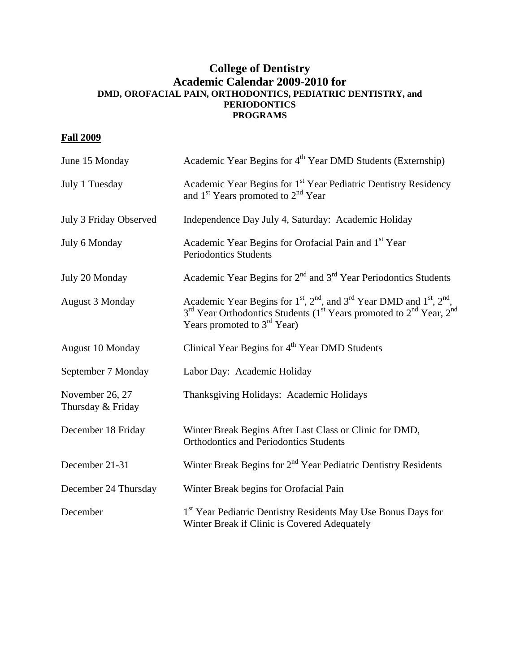## **College of Dentistry Academic Calendar 2009-2010 for DMD, OROFACIAL PAIN, ORTHODONTICS, PEDIATRIC DENTISTRY, and PERIODONTICS PROGRAMS**

## **Fall 2009**

| June 15 Monday                       | Academic Year Begins for 4 <sup>th</sup> Year DMD Students (Externship)                                                                                                                                                                           |
|--------------------------------------|---------------------------------------------------------------------------------------------------------------------------------------------------------------------------------------------------------------------------------------------------|
| July 1 Tuesday                       | Academic Year Begins for 1 <sup>st</sup> Year Pediatric Dentistry Residency<br>and 1 <sup>st</sup> Years promoted to 2 <sup>nd</sup> Year                                                                                                         |
| July 3 Friday Observed               | Independence Day July 4, Saturday: Academic Holiday                                                                                                                                                                                               |
| July 6 Monday                        | Academic Year Begins for Orofacial Pain and 1 <sup>st</sup> Year<br><b>Periodontics Students</b>                                                                                                                                                  |
| July 20 Monday                       | Academic Year Begins for 2 <sup>nd</sup> and 3 <sup>rd</sup> Year Periodontics Students                                                                                                                                                           |
| <b>August 3 Monday</b>               | Academic Year Begins for $1st$ , $2nd$ , and $3rd$ Year DMD and $1st$ , $2nd$ ,<br>3 <sup>rd</sup> Year Orthodontics Students (1 <sup>st</sup> Years promoted to 2 <sup>nd</sup> Year, 2 <sup>nd</sup><br>Years promoted to 3 <sup>rd</sup> Year) |
| August 10 Monday                     | Clinical Year Begins for 4 <sup>th</sup> Year DMD Students                                                                                                                                                                                        |
| September 7 Monday                   | Labor Day: Academic Holiday                                                                                                                                                                                                                       |
| November 26, 27<br>Thursday & Friday | Thanksgiving Holidays: Academic Holidays                                                                                                                                                                                                          |
| December 18 Friday                   | Winter Break Begins After Last Class or Clinic for DMD,<br><b>Orthodontics and Periodontics Students</b>                                                                                                                                          |
| December 21-31                       | Winter Break Begins for 2 <sup>nd</sup> Year Pediatric Dentistry Residents                                                                                                                                                                        |
| December 24 Thursday                 | Winter Break begins for Orofacial Pain                                                                                                                                                                                                            |
| December                             | 1 <sup>st</sup> Year Pediatric Dentistry Residents May Use Bonus Days for<br>Winter Break if Clinic is Covered Adequately                                                                                                                         |